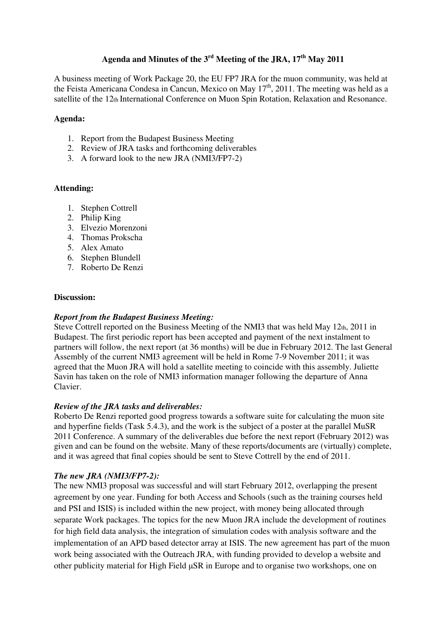# **Agenda and Minutes of the 3rd Meeting of the JRA, 17th May 2011**

A business meeting of Work Package 20, the EU FP7 JRA for the muon community, was held at the Feista Americana Condesa in Cancun, Mexico on May  $17<sup>th</sup>$ , 2011. The meeting was held as a satellite of the 12th International Conference on Muon Spin Rotation, Relaxation and Resonance.

### **Agenda:**

- 1. Report from the Budapest Business Meeting
- 2. Review of JRA tasks and forthcoming deliverables
- 3. A forward look to the new JRA (NMI3/FP7-2)

## **Attending:**

- 1. Stephen Cottrell
- 2. Philip King
- 3. Elvezio Morenzoni
- 4. Thomas Prokscha
- 5. Alex Amato
- 6. Stephen Blundell
- 7. Roberto De Renzi

### **Discussion:**

### *Report from the Budapest Business Meeting:*

Steve Cottrell reported on the Business Meeting of the NMI3 that was held May 12th, 2011 in Budapest. The first periodic report has been accepted and payment of the next instalment to partners will follow, the next report (at 36 months) will be due in February 2012. The last General Assembly of the current NMI3 agreement will be held in Rome 7-9 November 2011; it was agreed that the Muon JRA will hold a satellite meeting to coincide with this assembly. Juliette Savin has taken on the role of NMI3 information manager following the departure of Anna Clavier.

### *Review of the JRA tasks and deliverables:*

Roberto De Renzi reported good progress towards a software suite for calculating the muon site and hyperfine fields (Task 5.4.3), and the work is the subject of a poster at the parallel MuSR 2011 Conference. A summary of the deliverables due before the next report (February 2012) was given and can be found on the website. Many of these reports/documents are (virtually) complete, and it was agreed that final copies should be sent to Steve Cottrell by the end of 2011.

### *The new JRA (NMI3/FP7-2):*

The new NMI3 proposal was successful and will start February 2012, overlapping the present agreement by one year. Funding for both Access and Schools (such as the training courses held and PSI and ISIS) is included within the new project, with money being allocated through separate Work packages. The topics for the new Muon JRA include the development of routines for high field data analysis, the integration of simulation codes with analysis software and the implementation of an APD based detector array at ISIS. The new agreement has part of the muon work being associated with the Outreach JRA, with funding provided to develop a website and other publicity material for High Field µSR in Europe and to organise two workshops, one on